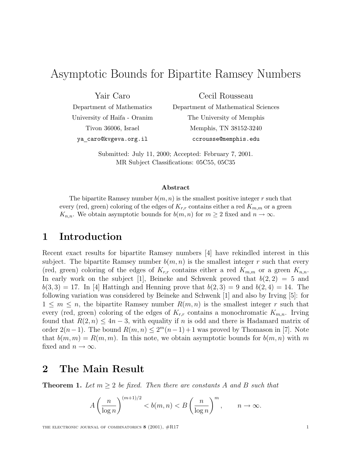# Asymptotic Bounds for Bipartite Ramsey Numbers

Yair Caro

Department of Mathematics University of Haifa - Oranim Tivon 36006, Israel ya caro@kvgeva.org.il

Cecil Rousseau

Department of Mathematical Sciences The University of Memphis Memphis, TN 38152-3240 ccrousse@memphis.edu

Submitted: July 11, 2000; Accepted: February 7, 2001. MR Subject Classifications: 05C55, 05C35

#### Abstract

The bipartite Ramsey number  $b(m, n)$  is the smallest positive integer r such that every (red, green) coloring of the edges of  $K_{r,r}$  contains either a red  $K_{m,m}$  or a green  $K_{n,n}$ . We obtain asymptotic bounds for  $b(m, n)$  for  $m \geq 2$  fixed and  $n \to \infty$ .

# 1 Introduction

Recent exact results for bipartite Ramsey numbers [4] have rekindled interest in this subject. The bipartite Ramsey number  $b(m, n)$  is the smallest integer r such that every (red, green) coloring of the edges of  $K_{r,r}$  contains either a red  $K_{m,m}$  or a green  $K_{n,n}$ . In early work on the subject [1], Beineke and Schwenk proved that  $b(2, 2) = 5$  and  $b(3, 3) = 17$ . In [4] Hattingh and Henning prove that  $b(2, 3) = 9$  and  $b(2, 4) = 14$ . The following variation was considered by Beineke and Schwenk [1] and also by Irving [5]: for  $1 \leq m \leq n$ , the bipartite Ramsey number  $R(m, n)$  is the smallest integer r such that every (red, green) coloring of the edges of  $K_{r,r}$  contains a monochromatic  $K_{m,n}$ . Irving found that  $R(2, n) \leq 4n-3$ , with equality if n is odd and there is Hadamard matrix of order  $2(n-1)$ . The bound  $R(m, n) \leq 2<sup>m</sup>(n-1)+1$  was proved by Thomason in [7]. Note that  $b(m, m) = R(m, m)$ . In this note, we obtain asymptotic bounds for  $b(m, n)$  with m fixed and  $n \to \infty$ .

### 2 The Main Result

**Theorem 1.** Let  $m \geq 2$  be fixed. Then there are constants A and B such that

$$
A\left(\frac{n}{\log n}\right)^{(m+1)/2} < b(m,n) < B\left(\frac{n}{\log n}\right)^m, \qquad n \to \infty.
$$

THE ELECTRONIC JOURNAL OF COMBINATORICS  $8(2001)$ ,  $\#R17$  1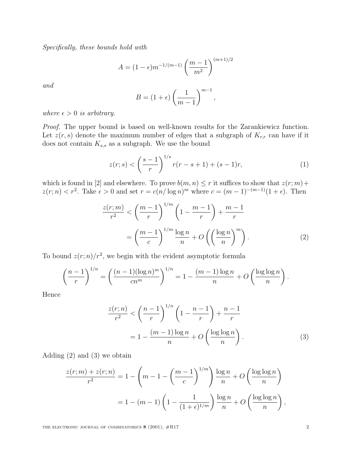Specifically, these bounds hold with

$$
A = (1 - \epsilon) m^{-1/(m-1)} \left(\frac{m-1}{m^2}\right)^{(m+1)/2}
$$

and

$$
B = (1 + \epsilon) \left(\frac{1}{m-1}\right)^{m-1},
$$

where  $\epsilon > 0$  is arbitrary.

Proof. The upper bound is based on well-known results for the Zarankiewicz function. Let  $z(r, s)$  denote the maximum number of edges that a subgraph of  $K_{r,r}$  can have if it does not contain  $K_{s,s}$  as a subgraph. We use the bound

$$
z(r;s) < \left(\frac{s-1}{r}\right)^{1/s} r(r-s+1) + (s-1)r,\tag{1}
$$

which is found in [2] and elsewhere. To prove  $b(m, n) \leq r$  it suffices to show that  $z(r; m)$ +  $z(r; n) < r^2$ . Take  $\epsilon > 0$  and set  $r = c(n/\log n)^m$  where  $c = (m-1)^{-(m-1)}(1+\epsilon)$ . Then

$$
\frac{z(r;m)}{r^2} < \left(\frac{m-1}{r}\right)^{1/m} \left(1 - \frac{m-1}{r}\right) + \frac{m-1}{r}
$$
\n
$$
= \left(\frac{m-1}{c}\right)^{1/m} \frac{\log n}{n} + O\left(\left(\frac{\log n}{n}\right)^m\right). \tag{2}
$$

To bound  $z(r; n)/r^2$ , we begin with the evident asymptotic formula

$$
\left(\frac{n-1}{r}\right)^{1/n} = \left(\frac{(n-1)(\log n)^m}{cn^m}\right)^{1/n} = 1 - \frac{(m-1)\log n}{n} + O\left(\frac{\log \log n}{n}\right).
$$

Hence

$$
\frac{z(r;n)}{r^2} < \left(\frac{n-1}{r}\right)^{1/n} \left(1 - \frac{n-1}{r}\right) + \frac{n-1}{r} \\
= 1 - \frac{(m-1)\log n}{n} + O\left(\frac{\log \log n}{n}\right). \tag{3}
$$

Adding (2) and (3) we obtain

$$
\frac{z(r;m) + z(r;n)}{r^2} = 1 - \left(m - 1 - \left(\frac{m-1}{c}\right)^{1/m}\right) \frac{\log n}{n} + O\left(\frac{\log \log n}{n}\right)
$$

$$
= 1 - (m-1)\left(1 - \frac{1}{(1+\epsilon)^{1/m}}\right) \frac{\log n}{n} + O\left(\frac{\log \log n}{n}\right),
$$

THE ELECTRONIC JOURNAL OF COMBINATORICS  $8(2001)$ ,  $\#R17$  2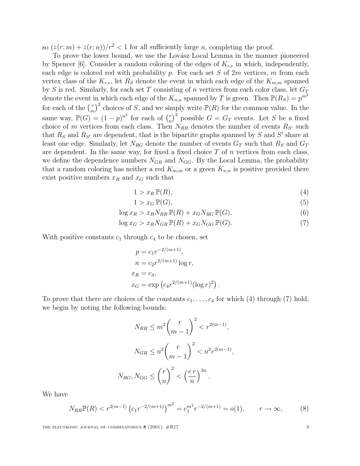so  $(z(r; m) + z(r; n))/r^2 < 1$  for all sufficiently large *n*, completing the proof.

To prove the lower bound, we use the Lovász Local Lemma in the manner pioneered by Spencer [6]. Consider a random coloring of the edges of  $K_{r,r}$  in which, independently, each edge is colored red with probability p. For each set S of  $2m$  vertices, m from each vertex class of the  $K_{r,r}$ , let  $R_S$  denote the event in which each edge of the  $K_{m,m}$  spanned by  $S$  is red. Similarly, for each set  $T$  consisting of  $n$  vertices from each color class, let  ${\cal G}_T$ denote the event in which each edge of the  $K_{n,n}$  spanned by T is green. Then  $\mathbb{P}(R_S) = p^{m^2}$ for each of the  $\binom{r}{r}$  $\binom{r}{m}^2$  choices of S, and we simply write  $\mathbb{P}(R)$  for the common value. In the same way,  $\mathbb{P}(G) = (1-p)^{n^2}$  for each of  $\binom{r}{n}$  $(n \choose n)^2$  possible  $G = G_T$  events. Let S be a fixed choice of m vertices from each class. Then  $N_{RR}$  denotes the number of events  $R_{S'}$  such that  $R_S$  and  $R_{S'}$  are dependent, that is the bipartite graphs spanned by S and S' share at least one edge. Similarly, let  $N_{RG}$  denote the number of events  $G_T$  such that  $R_S$  and  $G_T$ are dependent. In the same way, for fixed a fixed choice  $T$  of  $n$  vertices from each class, we define the dependence numbers  $N_{GR}$  and  $N_{GG}$ . By the Local Lemma, the probability that a random coloring has neither a red  $K_{m,m}$  or a green  $K_{n,n}$  is positive provided there exist positive numbers  $x_R$  and  $x_G$  such that

$$
1 > x_R \mathbb{P}(R),\tag{4}
$$

$$
1 > x_G \mathbb{P}(G),\tag{5}
$$

$$
\log x_R > x_R N_{RR} \mathbb{P}(R) + x_G N_{RG} \mathbb{P}(G),\tag{6}
$$

$$
\log x_G > x_R N_{GR} \mathbb{P}(R) + x_G N_{GG} \mathbb{P}(G). \tag{7}
$$

With positive constants  $c_1$  through  $c_4$  to be chosen, set

$$
p = c_1 r^{-2/(m+1)},
$$
  
\n
$$
n = c_2 r^{2/(m+1)} \log r,
$$
  
\n
$$
x_R = c_3,
$$
  
\n
$$
x_G = \exp\left(c_4 r^{2/(m+1)} (\log r)^2\right).
$$

To prove that there are choices of the constants  $c_1, \ldots, c_4$  for which (4) through (7) hold, we begin by noting the following bounds:

$$
N_{RR} \le m^2 \binom{r}{m-1}^2 < r^{2(m-1)},
$$
\n
$$
N_{GR} \le n^2 \binom{r}{m-1}^2 < n^2 r^{2(m-1)},
$$
\n
$$
N_{RG}, N_{GG} \le \binom{r}{n}^2 < \left(\frac{e\,r}{n}\right)^{2n}.
$$

We have

$$
N_{RR} \mathbb{P}(R) < r^{2(m-1)} \left( c_1 r^{-2/(m+1)} \right)^{m^2} = c_1^{m^2} r^{-2/(m+1)} = o(1), \qquad r \to \infty,\tag{8}
$$

THE ELECTRONIC JOURNAL OF COMBINATORICS  $8(2001)$ ,  $\#R17$  3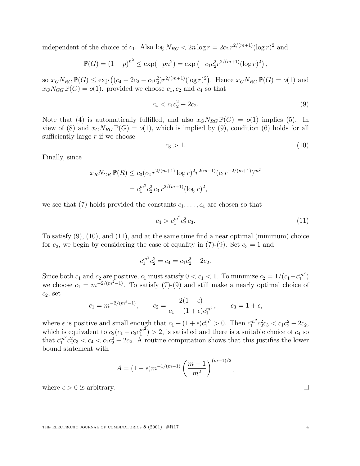independent of the choice of  $c_1$ . Also  $\log N_{RG} < 2n \log r = 2c_2 r^{2/(m+1)} (\log r)^2$  and

$$
\mathbb{P}(G) = (1-p)^{n^2} \le \exp(-pn^2) = \exp(-c_1c_2^2r^{2/(m+1)}(\log r)^2),
$$

so  $x_G N_{RG} \mathbb{P}(G) \le \exp ((c_4 + 2c_2 - c_1 c_2^2) r^{2/(m+1)} (\log r)^2)$ . Hence  $x_G N_{RG} \mathbb{P}(G) = o(1)$  and  $x_G N_{GG} \mathbb{P}(G) = o(1)$ . provided we choose  $c_1, c_2$  and  $c_4$  so that

$$
c_4 < c_1 c_2^2 - 2c_2. \tag{9}
$$

Note that (4) is automatically fulfilled, and also  $x_G N_{RG} \mathbb{P}(G) = o(1)$  implies (5). In view of (8) and  $x_G N_{RG} \mathbb{P}(G) = o(1)$ , which is implied by (9), condition (6) holds for all sufficiently large  $r$  if we choose

$$
c_3 > 1. \tag{10}
$$

Finally, since

$$
x_R N_{GR} \mathbb{P}(R) \le c_3 (c_2 r^{2/(m+1)} \log r)^2 r^{2(m-1)} (c_1 r^{-2/(m+1)})^{m^2}
$$
  
=  $c_1^{m^2} c_2^2 c_3 r^{2/(m+1)} (\log r)^2$ ,

we see that (7) holds provided the constants  $c_1, \ldots, c_4$  are chosen so that

$$
c_4 > c_1^{m^2} c_2^2 c_3. \tag{11}
$$

To satisfy  $(9)$ ,  $(10)$ , and  $(11)$ , and at the same time find a near optimal (minimum) choice for  $c_2$ , we begin by considering the case of equality in (7)-(9). Set  $c_3 = 1$  and

$$
c_1^{m^2}c_2^2 = c_4 = c_1c_2^2 - 2c_2.
$$

Since both  $c_1$  and  $c_2$  are positive,  $c_1$  must satisfy  $0 < c_1 < 1$ . To minimize  $c_2 = 1/(c_1 - c_1^{m^2})$ we choose  $c_1 = m^{-2/(m^2-1)}$ . To satisfy (7)-(9) and still make a nearly optimal choice of  $c_2$ , set

$$
c_1 = m^{-2/(m^2-1)}
$$
,  $c_2 = \frac{2(1+\epsilon)}{c_1 - (1+\epsilon)c_1^{m^2}}$ ,  $c_3 = 1+\epsilon$ ,

where  $\epsilon$  is positive and small enough that  $c_1 - (1 + \epsilon)c_1^{m^2} > 0$ . Then  $c_1^{m^2}c_2^2c_3 < c_1c_2^2 - 2c_2$ , which is equivalent to  $c_2(c_1 - c_3c_1^{m^2}) > 2$ , is satisfied and there is a suitable choice of  $c_4$  so that  $c_1^{m^2}c_2^2c_3 < c_4 < c_1c_2^2 - 2c_2$ . A routine computation shows that this justifies the lower bound statement with

$$
A = (1 - \epsilon) m^{-1/(m-1)} \left(\frac{m-1}{m^2}\right)^{(m+1)/2},
$$

where  $\epsilon > 0$  is arbitrary.

 $\Box$